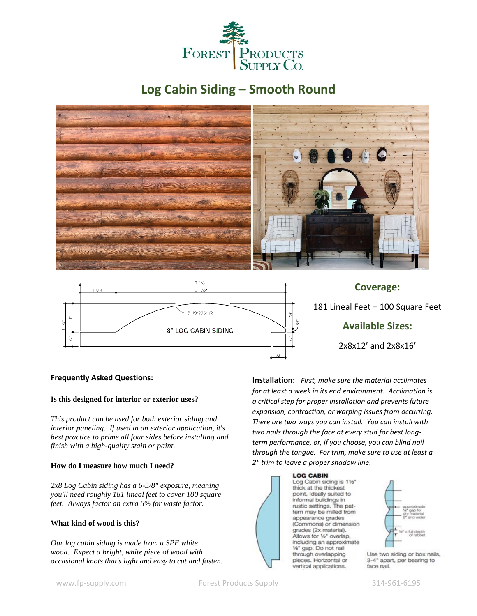

# **Log Cabin Siding – Smooth Round**



8" LOG CABIN SIDING

## **Available Sizes:**

2x8x12' and 2x8x16'

## **Frequently Asked Questions:**

#### **Is this designed for interior or exterior uses?**

*This product can be used for both exterior siding and interior paneling. If used in an exterior application, it's best practice to prime all four sides before installing and finish with a high-quality stain or paint.*

## **How do I measure how much I need?**

*2x8 Log Cabin siding has a 6-5/8" exposure, meaning you'll need roughly 181 lineal feet to cover 100 square feet. Always factor an extra 5% for waste factor.* 

## **What kind of wood is this?**

*Our log cabin siding is made from a SPF white wood. Expect a bright, white piece of wood with occasional knots that's light and easy to cut and fasten.* 

**Installation:** *First, make sure the material acclimates for at least a week in its end environment. Acclimation is a critical step for proper installation and prevents future expansion, contraction, or warping issues from occurring. There are two ways you can install. You can install with two nails through the face at every stud for best longterm performance, or, if you choose, you can blind nail through the tongue. For trim, make sure to use at least a 2" trim to leave a proper shadow line.*

## **LOG CABIN**

Log Cabin siding is 11/2" thick at the thickest point. Ideally suited to informal buildings in rustic settings. The pattern may be milled from appearance grades (Commons) or dimension grades (2x material). Allows for 1/2" overlap, including an approximate %" gap. Do not nail through overlapping pieces. Horizontal or vertical applications.



Use two siding or box nails, 3-4" apart, per bearing to face nail.